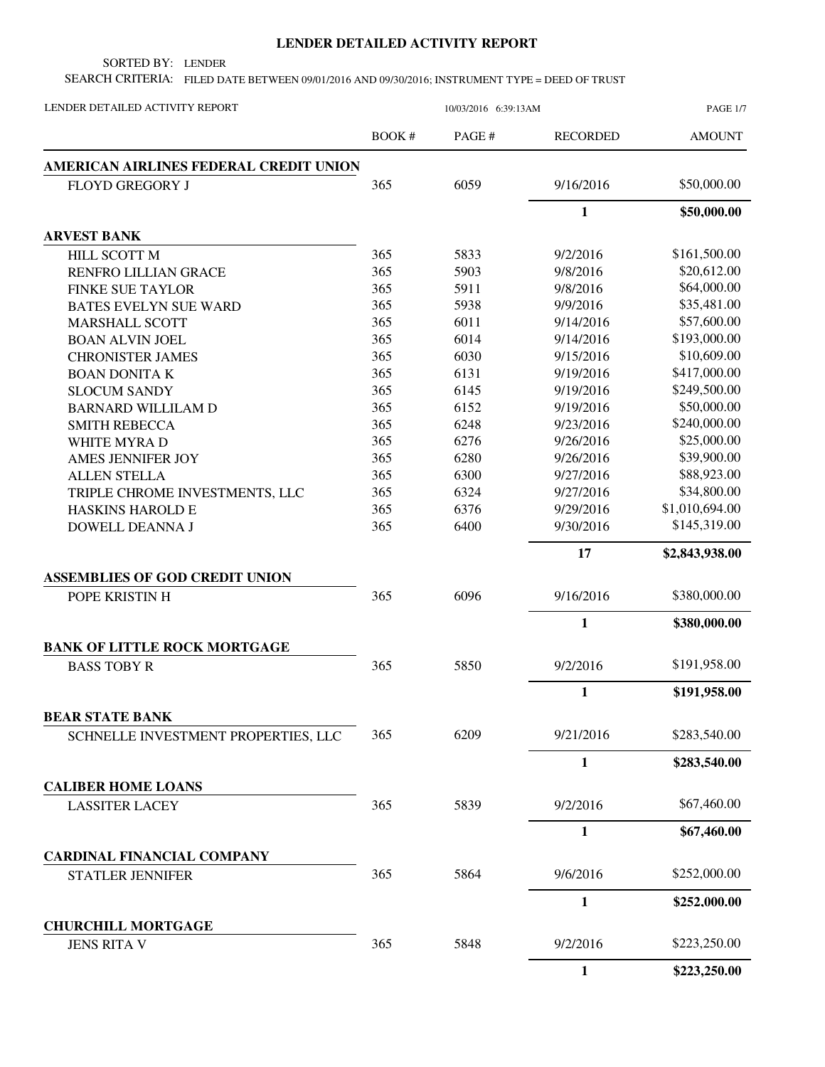## **LENDER DETAILED ACTIVITY REPORT**

SORTED BY: LENDER

SEARCH CRITERIA: FILED DATE BETWEEN 09/01/2016 AND 09/30/2016; INSTRUMENT TYPE = DEED OF TRUST

| LENDER DETAILED ACTIVITY REPORT        | 10/03/2016 6:39:13AM |       |                 | <b>PAGE 1/7</b> |
|----------------------------------------|----------------------|-------|-----------------|-----------------|
|                                        | BOOK#                | PAGE# | <b>RECORDED</b> | <b>AMOUNT</b>   |
| AMERICAN AIRLINES FEDERAL CREDIT UNION |                      |       |                 |                 |
| <b>FLOYD GREGORY J</b>                 | 365                  | 6059  | 9/16/2016       | \$50,000.00     |
|                                        |                      |       | $\mathbf{1}$    | \$50,000.00     |
| <b>ARVEST BANK</b>                     |                      |       |                 |                 |
| HILL SCOTT M                           | 365                  | 5833  | 9/2/2016        | \$161,500.00    |
| RENFRO LILLIAN GRACE                   | 365                  | 5903  | 9/8/2016        | \$20,612.00     |
| <b>FINKE SUE TAYLOR</b>                | 365                  | 5911  | 9/8/2016        | \$64,000.00     |
| <b>BATES EVELYN SUE WARD</b>           | 365                  | 5938  | 9/9/2016        | \$35,481.00     |
| <b>MARSHALL SCOTT</b>                  | 365                  | 6011  | 9/14/2016       | \$57,600.00     |
| <b>BOAN ALVIN JOEL</b>                 | 365                  | 6014  | 9/14/2016       | \$193,000.00    |
| <b>CHRONISTER JAMES</b>                | 365                  | 6030  | 9/15/2016       | \$10,609.00     |
| <b>BOAN DONITA K</b>                   | 365                  | 6131  | 9/19/2016       | \$417,000.00    |
| <b>SLOCUM SANDY</b>                    | 365                  | 6145  | 9/19/2016       | \$249,500.00    |
| <b>BARNARD WILLILAM D</b>              | 365                  | 6152  | 9/19/2016       | \$50,000.00     |
| <b>SMITH REBECCA</b>                   | 365                  | 6248  | 9/23/2016       | \$240,000.00    |
| WHITE MYRA D                           | 365                  | 6276  | 9/26/2016       | \$25,000.00     |
| AMES JENNIFER JOY                      | 365                  | 6280  | 9/26/2016       | \$39,900.00     |
| <b>ALLEN STELLA</b>                    | 365                  | 6300  | 9/27/2016       | \$88,923.00     |
| TRIPLE CHROME INVESTMENTS, LLC         | 365                  | 6324  | 9/27/2016       | \$34,800.00     |
| <b>HASKINS HAROLD E</b>                | 365                  | 6376  | 9/29/2016       | \$1,010,694.00  |
| DOWELL DEANNA J                        | 365                  | 6400  | 9/30/2016       | \$145,319.00    |
|                                        |                      |       | 17              | \$2,843,938.00  |
| <b>ASSEMBLIES OF GOD CREDIT UNION</b>  |                      |       |                 |                 |
| POPE KRISTIN H                         | 365                  | 6096  | 9/16/2016       | \$380,000.00    |
|                                        |                      |       | $\mathbf{1}$    | \$380,000.00    |
| <b>BANK OF LITTLE ROCK MORTGAGE</b>    |                      |       |                 |                 |
| <b>BASS TOBY R</b>                     | 365                  | 5850  | 9/2/2016        | \$191,958.00    |
|                                        |                      |       | 1               | \$191,958.00    |
| <b>BEAR STATE BANK</b>                 |                      |       |                 |                 |
| SCHNELLE INVESTMENT PROPERTIES, LLC    | 365                  | 6209  | 9/21/2016       | \$283,540.00    |
|                                        |                      |       | $\mathbf{1}$    | \$283,540.00    |
| <b>CALIBER HOME LOANS</b>              |                      |       |                 |                 |
| <b>LASSITER LACEY</b>                  | 365                  | 5839  | 9/2/2016        | \$67,460.00     |
|                                        |                      |       | 1               | \$67,460.00     |
| <b>CARDINAL FINANCIAL COMPANY</b>      |                      |       |                 |                 |
| <b>STATLER JENNIFER</b>                | 365                  | 5864  | 9/6/2016        | \$252,000.00    |
|                                        |                      |       | $\mathbf{1}$    | \$252,000.00    |
| <b>CHURCHILL MORTGAGE</b>              |                      |       |                 |                 |
| <b>JENS RITA V</b>                     | 365                  | 5848  | 9/2/2016        | \$223,250.00    |
|                                        |                      |       | $\mathbf{1}$    | \$223,250.00    |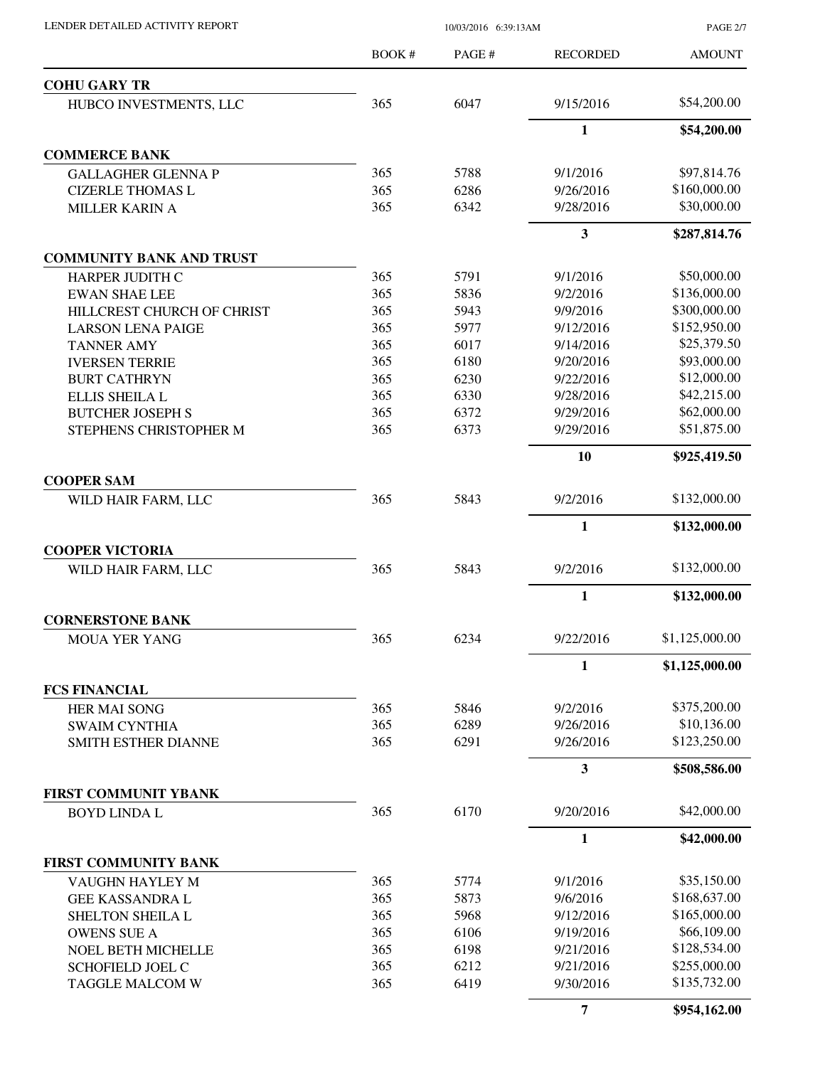PAGE 2/7

|                                                 | <b>BOOK#</b> | PAGE# | <b>RECORDED</b> | <b>AMOUNT</b>                                |
|-------------------------------------------------|--------------|-------|-----------------|----------------------------------------------|
| <b>COHU GARY TR</b>                             |              |       |                 |                                              |
| HUBCO INVESTMENTS, LLC                          | 365          | 6047  | 9/15/2016       | \$54,200.00                                  |
|                                                 |              |       | 1               | \$54,200.00                                  |
| <b>COMMERCE BANK</b>                            |              |       |                 |                                              |
| <b>GALLAGHER GLENNA P</b>                       | 365          | 5788  | 9/1/2016        | \$97,814.76                                  |
| <b>CIZERLE THOMAS L</b>                         | 365          | 6286  | 9/26/2016       | \$160,000.00                                 |
| <b>MILLER KARIN A</b>                           | 365          | 6342  | 9/28/2016       | \$30,000.00                                  |
|                                                 |              |       | 3               | \$287,814.76                                 |
| <b>COMMUNITY BANK AND TRUST</b>                 |              |       |                 |                                              |
| HARPER JUDITH C                                 | 365          | 5791  | 9/1/2016        | \$50,000.00                                  |
| <b>EWAN SHAE LEE</b>                            | 365          | 5836  | 9/2/2016        | \$136,000.00                                 |
| HILLCREST CHURCH OF CHRIST                      | 365          | 5943  | 9/9/2016        | \$300,000.00                                 |
| <b>LARSON LENA PAIGE</b>                        | 365          | 5977  | 9/12/2016       | \$152,950.00                                 |
| <b>TANNER AMY</b>                               | 365          | 6017  | 9/14/2016       | \$25,379.50                                  |
| <b>IVERSEN TERRIE</b>                           | 365          | 6180  | 9/20/2016       | \$93,000.00                                  |
| <b>BURT CATHRYN</b>                             | 365          | 6230  | 9/22/2016       | \$12,000.00                                  |
|                                                 |              |       |                 |                                              |
| ELLIS SHEILA L                                  | 365          | 6330  | 9/28/2016       | \$42,215.00                                  |
| <b>BUTCHER JOSEPH S</b>                         | 365          | 6372  | 9/29/2016       | \$62,000.00                                  |
| STEPHENS CHRISTOPHER M                          | 365          | 6373  | 9/29/2016       | \$51,875.00                                  |
|                                                 |              |       | 10              | \$925,419.50                                 |
| <b>COOPER SAM</b><br>WILD HAIR FARM, LLC        | 365          | 5843  | 9/2/2016        | \$132,000.00                                 |
|                                                 |              |       |                 |                                              |
|                                                 |              |       | 1               | \$132,000.00                                 |
| <b>COOPER VICTORIA</b><br>WILD HAIR FARM, LLC   | 365          | 5843  | 9/2/2016        | \$132,000.00                                 |
|                                                 |              |       |                 |                                              |
|                                                 |              |       | 1               | \$132,000.00                                 |
| <b>CORNERSTONE BANK</b><br><b>MOUA YER YANG</b> | 365          | 6234  | 9/22/2016       | \$1,125,000.00                               |
|                                                 |              |       | $\mathbf{1}$    | \$1,125,000.00                               |
| <b>FCS FINANCIAL</b>                            |              |       |                 |                                              |
| <b>HER MAI SONG</b>                             | 365          | 5846  | 9/2/2016        | \$375,200.00                                 |
| <b>SWAIM CYNTHIA</b>                            | 365          | 6289  | 9/26/2016       | \$10,136.00                                  |
| SMITH ESTHER DIANNE                             | 365          | 6291  | 9/26/2016       | \$123,250.00                                 |
|                                                 |              |       |                 |                                              |
|                                                 |              |       | 3               | \$508,586.00                                 |
| FIRST COMMUNIT YBANK<br><b>BOYD LINDA L</b>     | 365          | 6170  | 9/20/2016       | \$42,000.00                                  |
|                                                 |              |       |                 |                                              |
|                                                 |              |       | 1               | \$42,000.00                                  |
| FIRST COMMUNITY BANK<br>VAUGHN HAYLEY M         | 365          | 5774  | 9/1/2016        | \$35,150.00                                  |
| <b>GEE KASSANDRA L</b>                          | 365          | 5873  | 9/6/2016        | \$168,637.00                                 |
|                                                 | 365          | 5968  |                 | \$165,000.00                                 |
|                                                 |              | 6106  | 9/12/2016       |                                              |
| <b>SHELTON SHEILA L</b>                         |              |       | 9/19/2016       | \$66,109.00                                  |
| <b>OWENS SUE A</b>                              | 365          |       |                 |                                              |
| <b>NOEL BETH MICHELLE</b>                       | 365          | 6198  | 9/21/2016       |                                              |
| SCHOFIELD JOEL C                                | 365          | 6212  | 9/21/2016       |                                              |
| <b>TAGGLE MALCOM W</b>                          | 365          | 6419  | 9/30/2016       | \$128,534.00<br>\$255,000.00<br>\$135,732.00 |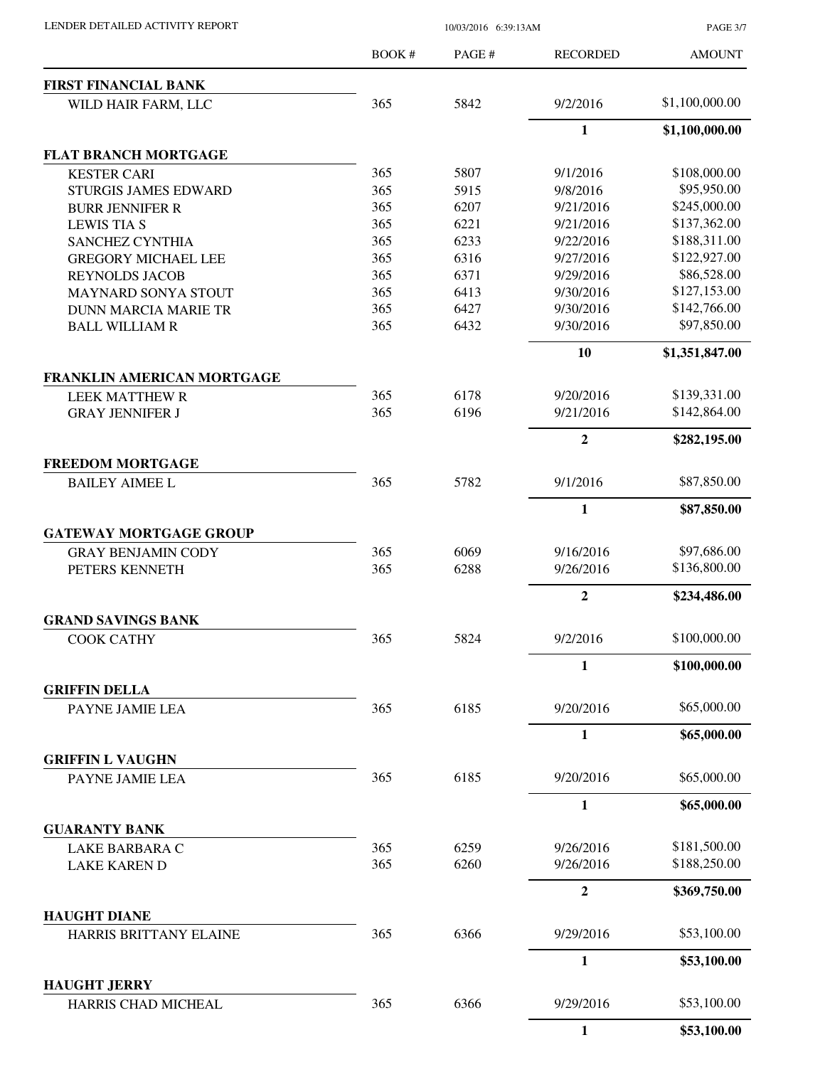| LENDER DETAILED ACTIVITY REPORT |  |
|---------------------------------|--|
|                                 |  |

10/03/2016 6:39:13AM

PAGE 3/7

|                                                            | <b>BOOK#</b> | PAGE # | <b>RECORDED</b>  | <b>AMOUNT</b>  |
|------------------------------------------------------------|--------------|--------|------------------|----------------|
| <b>FIRST FINANCIAL BANK</b>                                |              |        |                  |                |
| WILD HAIR FARM, LLC                                        | 365          | 5842   | 9/2/2016         | \$1,100,000.00 |
|                                                            |              |        | $\mathbf{1}$     | \$1,100,000.00 |
| <b>FLAT BRANCH MORTGAGE</b>                                |              |        |                  |                |
| <b>KESTER CARI</b>                                         | 365          | 5807   | 9/1/2016         | \$108,000.00   |
| <b>STURGIS JAMES EDWARD</b>                                | 365          | 5915   | 9/8/2016         | \$95,950.00    |
| <b>BURR JENNIFER R</b>                                     | 365          | 6207   | 9/21/2016        | \$245,000.00   |
| <b>LEWIS TIA S</b>                                         | 365          | 6221   | 9/21/2016        | \$137,362.00   |
| <b>SANCHEZ CYNTHIA</b>                                     | 365          | 6233   | 9/22/2016        | \$188,311.00   |
| <b>GREGORY MICHAEL LEE</b>                                 | 365          | 6316   | 9/27/2016        | \$122,927.00   |
| <b>REYNOLDS JACOB</b>                                      | 365          | 6371   | 9/29/2016        | \$86,528.00    |
| <b>MAYNARD SONYA STOUT</b>                                 | 365          | 6413   | 9/30/2016        | \$127,153.00   |
| <b>DUNN MARCIA MARIE TR</b>                                | 365          | 6427   | 9/30/2016        | \$142,766.00   |
| <b>BALL WILLIAM R</b>                                      | 365          | 6432   | 9/30/2016        | \$97,850.00    |
|                                                            |              |        | 10               | \$1,351,847.00 |
| FRANKLIN AMERICAN MORTGAGE                                 |              |        |                  |                |
| <b>LEEK MATTHEW R</b>                                      | 365          | 6178   | 9/20/2016        | \$139,331.00   |
| <b>GRAY JENNIFER J</b>                                     | 365          | 6196   | 9/21/2016        | \$142,864.00   |
|                                                            |              |        | $\overline{2}$   | \$282,195.00   |
| <b>FREEDOM MORTGAGE</b><br><b>BAILEY AIMEE L</b>           | 365          | 5782   | 9/1/2016         | \$87,850.00    |
|                                                            |              |        | $\mathbf{1}$     | \$87,850.00    |
|                                                            |              |        |                  |                |
| <b>GATEWAY MORTGAGE GROUP</b><br><b>GRAY BENJAMIN CODY</b> | 365          | 6069   | 9/16/2016        | \$97,686.00    |
| PETERS KENNETH                                             | 365          | 6288   | 9/26/2016        | \$136,800.00   |
|                                                            |              |        | $\boldsymbol{2}$ |                |
| <b>GRAND SAVINGS BANK</b>                                  |              |        |                  | \$234,486.00   |
| COOK CATHY                                                 | 365          | 5824   | 9/2/2016         | \$100,000.00   |
|                                                            |              |        | 1                | \$100,000.00   |
| <b>GRIFFIN DELLA</b>                                       |              |        |                  |                |
| PAYNE JAMIE LEA                                            | 365          | 6185   | 9/20/2016        | \$65,000.00    |
|                                                            |              |        | 1                | \$65,000.00    |
| <b>GRIFFIN L VAUGHN</b>                                    |              |        |                  |                |
| PAYNE JAMIE LEA                                            | 365          | 6185   | 9/20/2016        | \$65,000.00    |
|                                                            |              |        | 1                | \$65,000.00    |
| <b>GUARANTY BANK</b>                                       |              |        |                  |                |
| <b>LAKE BARBARA C</b>                                      | 365          | 6259   | 9/26/2016        | \$181,500.00   |
| <b>LAKE KAREN D</b>                                        | 365          | 6260   | 9/26/2016        | \$188,250.00   |
|                                                            |              |        | $\overline{2}$   | \$369,750.00   |
| <b>HAUGHT DIANE</b><br>HARRIS BRITTANY ELAINE              | 365          | 6366   | 9/29/2016        | \$53,100.00    |
|                                                            |              |        | 1                | \$53,100.00    |
| <b>HAUGHT JERRY</b>                                        |              |        |                  |                |
| HARRIS CHAD MICHEAL                                        | 365          | 6366   | 9/29/2016        | \$53,100.00    |
|                                                            |              |        | $\mathbf{1}$     | \$53,100.00    |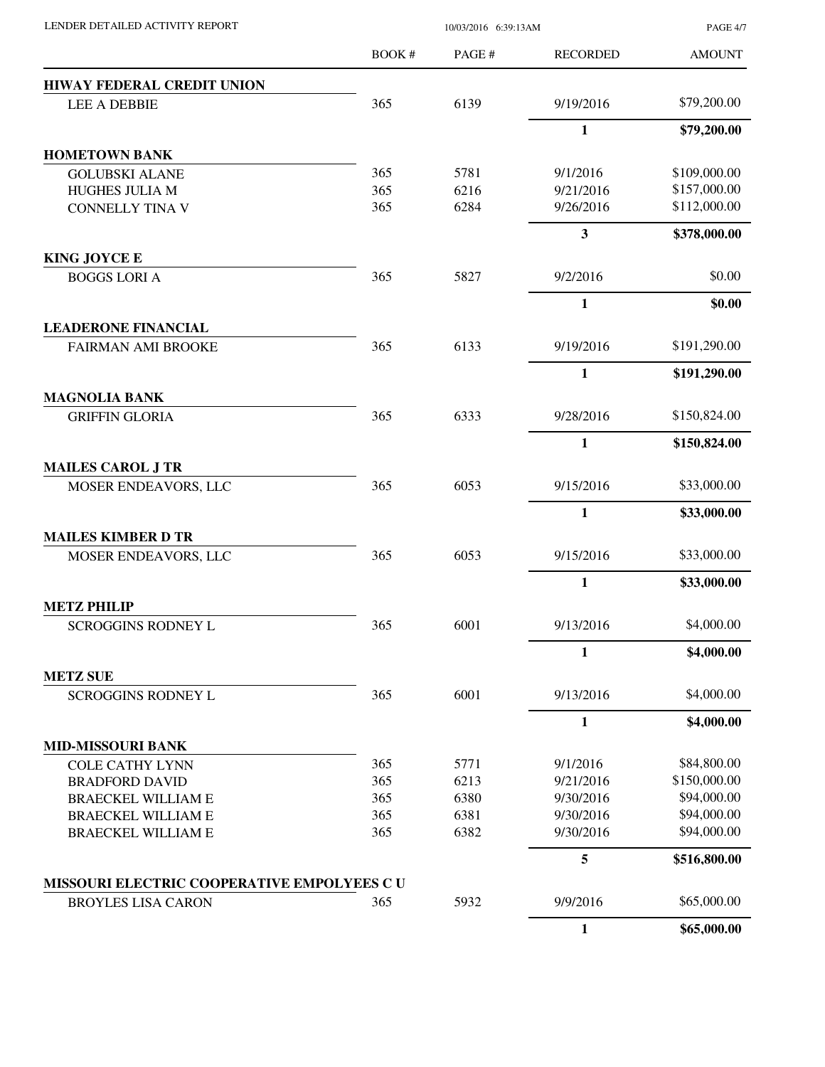| LENDER DETAILED ACTIVITY REPORT                                         | 10/03/2016 6:39:13AM |              |                        | <b>PAGE 4/7</b>             |
|-------------------------------------------------------------------------|----------------------|--------------|------------------------|-----------------------------|
|                                                                         | BOOK #               | PAGE#        | <b>RECORDED</b>        | <b>AMOUNT</b>               |
| <b>HIWAY FEDERAL CREDIT UNION</b>                                       |                      |              |                        |                             |
| <b>LEE A DEBBIE</b>                                                     | 365                  | 6139         | 9/19/2016              | \$79,200.00                 |
|                                                                         |                      |              | $\mathbf{1}$           | \$79,200.00                 |
| <b>HOMETOWN BANK</b>                                                    |                      |              |                        |                             |
| <b>GOLUBSKI ALANE</b>                                                   | 365                  | 5781         | 9/1/2016               | \$109,000.00                |
| HUGHES JULIA M                                                          | 365                  | 6216         | 9/21/2016              | \$157,000.00                |
| <b>CONNELLY TINA V</b>                                                  | 365                  | 6284         | 9/26/2016              | \$112,000.00                |
|                                                                         |                      |              | 3                      | \$378,000.00                |
| <b>KING JOYCE E</b>                                                     |                      |              |                        |                             |
| <b>BOGGS LORI A</b>                                                     | 365                  | 5827         | 9/2/2016               | \$0.00                      |
|                                                                         |                      |              | 1                      | \$0.00                      |
| <b>LEADERONE FINANCIAL</b>                                              |                      |              |                        |                             |
| <b>FAIRMAN AMI BROOKE</b>                                               | 365                  | 6133         | 9/19/2016              | \$191,290.00                |
|                                                                         |                      |              | $\mathbf{1}$           | \$191,290.00                |
| <b>MAGNOLIA BANK</b><br><b>GRIFFIN GLORIA</b>                           | 365                  | 6333         | 9/28/2016              | \$150,824.00                |
|                                                                         |                      |              |                        |                             |
|                                                                         |                      |              | $\mathbf{1}$           | \$150,824.00                |
| <b>MAILES CAROL J TR</b>                                                |                      |              |                        |                             |
| MOSER ENDEAVORS, LLC                                                    | 365                  | 6053         | 9/15/2016              | \$33,000.00                 |
|                                                                         |                      |              | 1                      | \$33,000.00                 |
| <b>MAILES KIMBER D TR</b>                                               |                      |              |                        |                             |
| MOSER ENDEAVORS, LLC                                                    | 365                  | 6053         | 9/15/2016              | \$33,000.00                 |
|                                                                         |                      |              | $\mathbf{1}$           | \$33,000.00                 |
| <b>METZ PHILIP</b>                                                      |                      |              |                        |                             |
| <b>SCROGGINS RODNEY L</b>                                               | 365                  | 6001         | 9/13/2016              | \$4,000.00                  |
|                                                                         |                      |              | 1                      | \$4,000.00                  |
| <b>METZ SUE</b>                                                         |                      |              |                        |                             |
| <b>SCROGGINS RODNEY L</b>                                               | 365                  | 6001         | 9/13/2016              | \$4,000.00                  |
|                                                                         |                      |              | $\mathbf{1}$           | \$4,000.00                  |
| <b>MID-MISSOURI BANK</b>                                                |                      |              |                        |                             |
| <b>COLE CATHY LYNN</b>                                                  | 365                  | 5771         | 9/1/2016               | \$84,800.00<br>\$150,000.00 |
| <b>BRADFORD DAVID</b>                                                   | 365<br>365           | 6213         | 9/21/2016<br>9/30/2016 | \$94,000.00                 |
| <b>BRAECKEL WILLIAM E</b>                                               | 365                  | 6380<br>6381 | 9/30/2016              | \$94,000.00                 |
| <b>BRAECKEL WILLIAM E</b><br><b>BRAECKEL WILLIAM E</b>                  | 365                  | 6382         | 9/30/2016              | \$94,000.00                 |
|                                                                         |                      |              | 5                      | \$516,800.00                |
|                                                                         |                      |              |                        |                             |
| MISSOURI ELECTRIC COOPERATIVE EMPOLYEES CU<br><b>BROYLES LISA CARON</b> | 365                  | 5932         | 9/9/2016               | \$65,000.00                 |
|                                                                         |                      |              | $\mathbf{1}$           | \$65,000.00                 |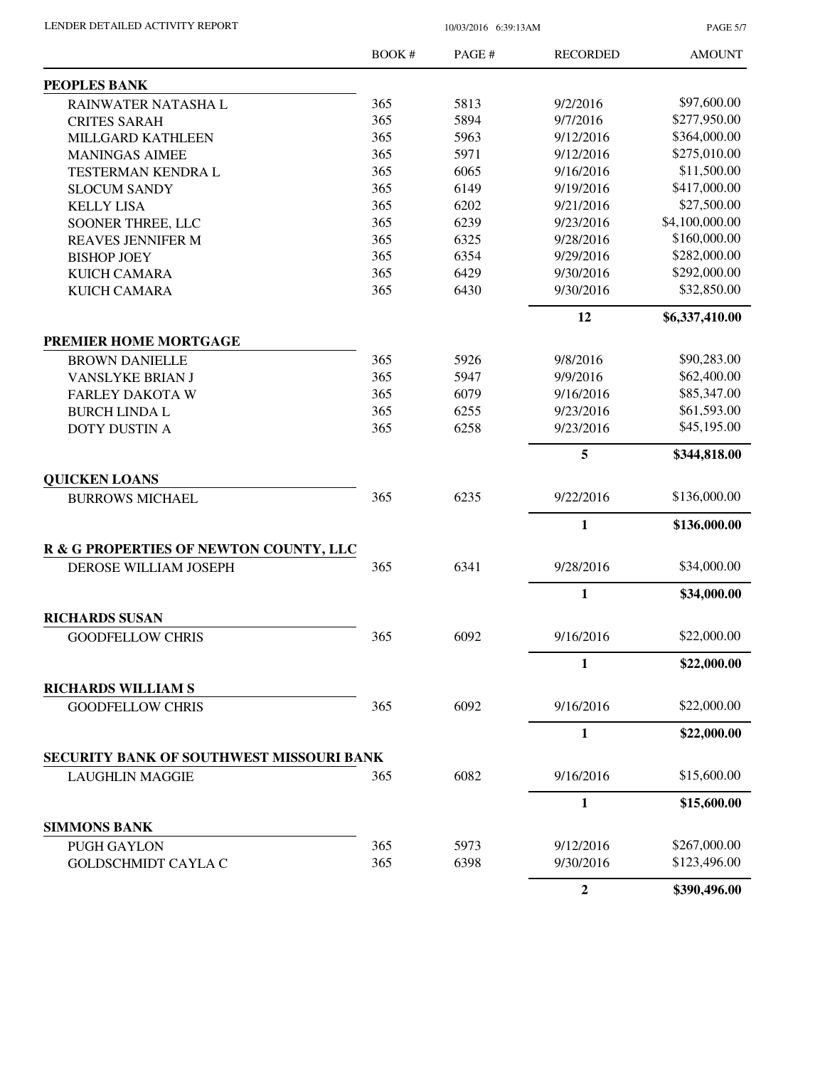| LENDER DETAILED ACTIVITY REPORT |  |
|---------------------------------|--|
|                                 |  |

10/03/2016 6:39:13AM

PAGE 5/7

|                                                | BOOK# | PAGE# | <b>RECORDED</b>  | <b>AMOUNT</b>  |
|------------------------------------------------|-------|-------|------------------|----------------|
| PEOPLES BANK                                   |       |       |                  |                |
| RAINWATER NATASHA L                            | 365   | 5813  | 9/2/2016         | \$97,600.00    |
| <b>CRITES SARAH</b>                            | 365   | 5894  | 9/7/2016         | \$277,950.00   |
| MILLGARD KATHLEEN                              | 365   | 5963  | 9/12/2016        | \$364,000.00   |
| <b>MANINGAS AIMEE</b>                          | 365   | 5971  | 9/12/2016        | \$275,010.00   |
| TESTERMAN KENDRA L                             | 365   | 6065  | 9/16/2016        | \$11,500.00    |
| <b>SLOCUM SANDY</b>                            | 365   | 6149  | 9/19/2016        | \$417,000.00   |
| <b>KELLY LISA</b>                              | 365   | 6202  | 9/21/2016        | \$27,500.00    |
| SOONER THREE, LLC                              | 365   | 6239  | 9/23/2016        | \$4,100,000.00 |
| REAVES JENNIFER M                              | 365   | 6325  | 9/28/2016        | \$160,000.00   |
| <b>BISHOP JOEY</b>                             | 365   | 6354  | 9/29/2016        | \$282,000.00   |
| <b>KUICH CAMARA</b>                            | 365   | 6429  | 9/30/2016        | \$292,000.00   |
| <b>KUICH CAMARA</b>                            | 365   | 6430  | 9/30/2016        | \$32,850.00    |
|                                                |       |       | 12               | \$6,337,410.00 |
|                                                |       |       |                  |                |
| PREMIER HOME MORTGAGE<br><b>BROWN DANIELLE</b> | 365   | 5926  | 9/8/2016         | \$90,283.00    |
| VANSLYKE BRIAN J                               | 365   | 5947  | 9/9/2016         | \$62,400.00    |
| <b>FARLEY DAKOTA W</b>                         | 365   | 6079  | 9/16/2016        | \$85,347.00    |
| <b>BURCH LINDA L</b>                           | 365   | 6255  | 9/23/2016        | \$61,593.00    |
| <b>DOTY DUSTIN A</b>                           | 365   | 6258  | 9/23/2016        | \$45,195.00    |
|                                                |       |       |                  |                |
|                                                |       |       | 5                | \$344,818.00   |
| <b>QUICKEN LOANS</b><br><b>BURROWS MICHAEL</b> | 365   | 6235  | 9/22/2016        | \$136,000.00   |
|                                                |       |       |                  |                |
|                                                |       |       | 1                | \$136,000.00   |
| R & G PROPERTIES OF NEWTON COUNTY, LLC         |       |       |                  |                |
| DEROSE WILLIAM JOSEPH                          | 365   | 6341  | 9/28/2016        | \$34,000.00    |
|                                                |       |       | $\mathbf{1}$     | \$34,000.00    |
| <b>RICHARDS SUSAN</b>                          |       |       |                  |                |
| <b>GOODFELLOW CHRIS</b>                        | 365   | 6092  | 9/16/2016        | \$22,000.00    |
|                                                |       |       | 1                | \$22,000.00    |
| <b>RICHARDS WILLIAM S</b>                      |       |       |                  |                |
| <b>GOODFELLOW CHRIS</b>                        | 365   | 6092  | 9/16/2016        | \$22,000.00    |
|                                                |       |       | 1                | \$22,000.00    |
| SECURITY BANK OF SOUTHWEST MISSOURI BANK       |       |       |                  |                |
| <b>LAUGHLIN MAGGIE</b>                         | 365   | 6082  | 9/16/2016        | \$15,600.00    |
|                                                |       |       | $\mathbf{1}$     | \$15,600.00    |
| <b>SIMMONS BANK</b>                            |       |       |                  |                |
| <b>PUGH GAYLON</b>                             | 365   | 5973  | 9/12/2016        | \$267,000.00   |
| <b>GOLDSCHMIDT CAYLA C</b>                     | 365   | 6398  | 9/30/2016        | \$123,496.00   |
|                                                |       |       | $\boldsymbol{2}$ | \$390,496.00   |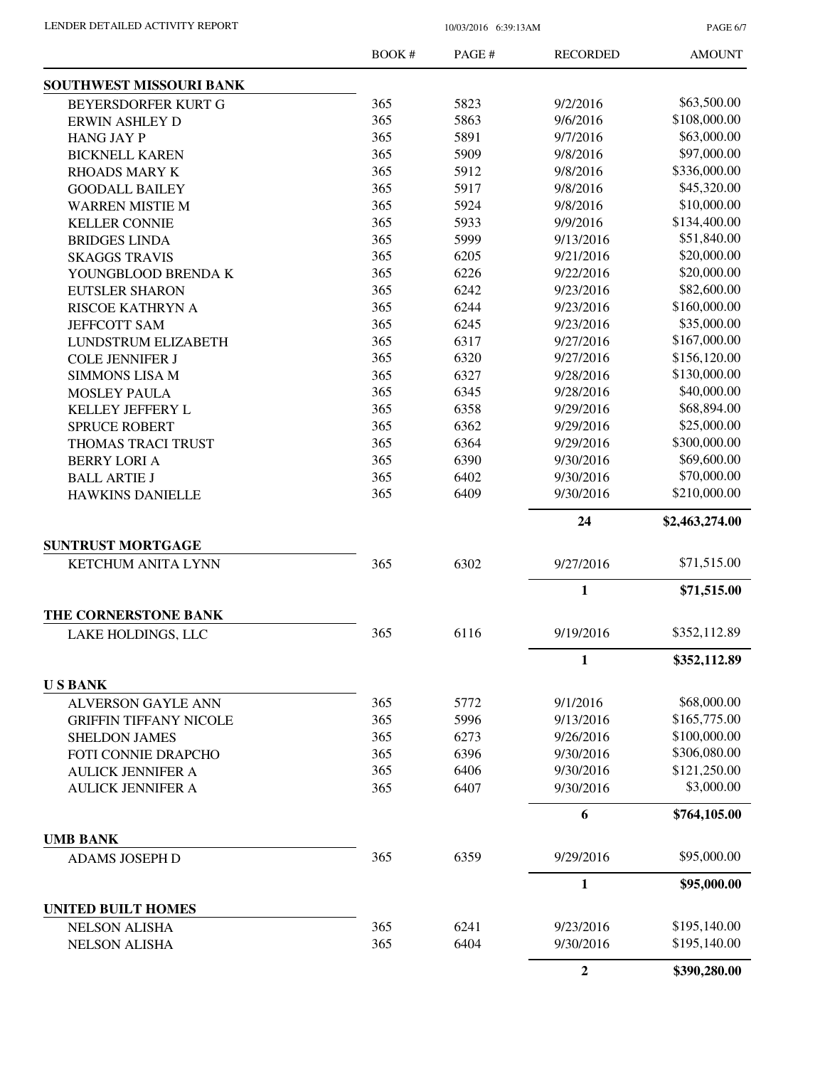PAGE 6/7

|                               | <b>BOOK#</b> | PAGE # | <b>RECORDED</b>  | <b>AMOUNT</b>  |
|-------------------------------|--------------|--------|------------------|----------------|
| SOUTHWEST MISSOURI BANK       |              |        |                  |                |
| BEYERSDORFER KURT G           | 365          | 5823   | 9/2/2016         | \$63,500.00    |
| <b>ERWIN ASHLEY D</b>         | 365          | 5863   | 9/6/2016         | \$108,000.00   |
| <b>HANG JAY P</b>             | 365          | 5891   | 9/7/2016         | \$63,000.00    |
| <b>BICKNELL KAREN</b>         | 365          | 5909   | 9/8/2016         | \$97,000.00    |
| <b>RHOADS MARY K</b>          | 365          | 5912   | 9/8/2016         | \$336,000.00   |
| <b>GOODALL BAILEY</b>         | 365          | 5917   | 9/8/2016         | \$45,320.00    |
| <b>WARREN MISTIE M</b>        | 365          | 5924   | 9/8/2016         | \$10,000.00    |
| <b>KELLER CONNIE</b>          | 365          | 5933   | 9/9/2016         | \$134,400.00   |
| <b>BRIDGES LINDA</b>          | 365          | 5999   | 9/13/2016        | \$51,840.00    |
| <b>SKAGGS TRAVIS</b>          | 365          | 6205   | 9/21/2016        | \$20,000.00    |
| YOUNGBLOOD BRENDA K           | 365          | 6226   | 9/22/2016        | \$20,000.00    |
| <b>EUTSLER SHARON</b>         | 365          | 6242   | 9/23/2016        | \$82,600.00    |
| RISCOE KATHRYN A              | 365          | 6244   | 9/23/2016        | \$160,000.00   |
| <b>JEFFCOTT SAM</b>           | 365          | 6245   | 9/23/2016        | \$35,000.00    |
| LUNDSTRUM ELIZABETH           | 365          | 6317   | 9/27/2016        | \$167,000.00   |
| <b>COLE JENNIFER J</b>        | 365          | 6320   | 9/27/2016        | \$156,120.00   |
| <b>SIMMONS LISA M</b>         | 365          | 6327   | 9/28/2016        | \$130,000.00   |
| <b>MOSLEY PAULA</b>           | 365          | 6345   | 9/28/2016        | \$40,000.00    |
|                               | 365          | 6358   | 9/29/2016        | \$68,894.00    |
| KELLEY JEFFERY L              | 365          | 6362   | 9/29/2016        | \$25,000.00    |
| <b>SPRUCE ROBERT</b>          |              |        |                  | \$300,000.00   |
| THOMAS TRACI TRUST            | 365          | 6364   | 9/29/2016        |                |
| <b>BERRY LORI A</b>           | 365          | 6390   | 9/30/2016        | \$69,600.00    |
| <b>BALL ARTIE J</b>           | 365          | 6402   | 9/30/2016        | \$70,000.00    |
| <b>HAWKINS DANIELLE</b>       | 365          | 6409   | 9/30/2016        | \$210,000.00   |
|                               |              |        | 24               | \$2,463,274.00 |
| <b>SUNTRUST MORTGAGE</b>      |              |        |                  |                |
| <b>KETCHUM ANITA LYNN</b>     | 365          | 6302   | 9/27/2016        | \$71,515.00    |
|                               |              |        | $\mathbf{1}$     | \$71,515.00    |
| THE CORNERSTONE BANK          |              |        |                  |                |
| LAKE HOLDINGS, LLC            | 365          | 6116   | 9/19/2016        | \$352,112.89   |
|                               |              |        | 1                | \$352,112.89   |
| <b>USBANK</b>                 |              |        |                  |                |
| <b>ALVERSON GAYLE ANN</b>     | 365          | 5772   | 9/1/2016         | \$68,000.00    |
| <b>GRIFFIN TIFFANY NICOLE</b> | 365          | 5996   | 9/13/2016        | \$165,775.00   |
| <b>SHELDON JAMES</b>          | 365          | 6273   | 9/26/2016        | \$100,000.00   |
| FOTI CONNIE DRAPCHO           | 365          | 6396   | 9/30/2016        | \$306,080.00   |
| <b>AULICK JENNIFER A</b>      | 365          | 6406   | 9/30/2016        | \$121,250.00   |
| <b>AULICK JENNIFER A</b>      | 365          | 6407   | 9/30/2016        | \$3,000.00     |
|                               |              |        | 6                | \$764,105.00   |
| <b>UMB BANK</b>               |              |        |                  |                |
| <b>ADAMS JOSEPH D</b>         | 365          | 6359   | 9/29/2016        | \$95,000.00    |
|                               |              |        | 1                | \$95,000.00    |
| <b>UNITED BUILT HOMES</b>     |              |        |                  |                |
| <b>NELSON ALISHA</b>          | 365          | 6241   | 9/23/2016        | \$195,140.00   |
| <b>NELSON ALISHA</b>          | 365          | 6404   | 9/30/2016        | \$195,140.00   |
|                               |              |        | $\boldsymbol{2}$ | \$390,280.00   |